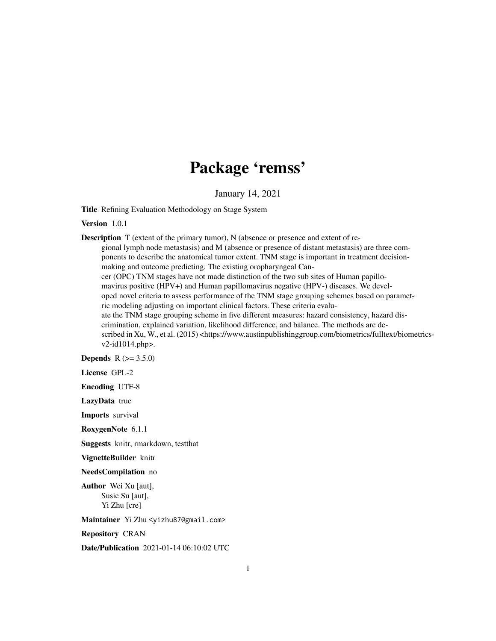## Package 'remss'

January 14, 2021

Title Refining Evaluation Methodology on Stage System

Version 1.0.1

Description T (extent of the primary tumor), N (absence or presence and extent of regional lymph node metastasis) and M (absence or presence of distant metastasis) are three components to describe the anatomical tumor extent. TNM stage is important in treatment decisionmaking and outcome predicting. The existing oropharyngeal Cancer (OPC) TNM stages have not made distinction of the two sub sites of Human papillomavirus positive (HPV+) and Human papillomavirus negative (HPV-) diseases. We developed novel criteria to assess performance of the TNM stage grouping schemes based on parametric modeling adjusting on important clinical factors. These criteria evaluate the TNM stage grouping scheme in five different measures: hazard consistency, hazard discrimination, explained variation, likelihood difference, and balance. The methods are described in Xu, W., et al. (2015) <https://www.austinpublishinggroup.com/biometrics/fulltext/biometricsv2-id1014.php>.

**Depends** R  $(>= 3.5.0)$ 

License GPL-2

Encoding UTF-8

LazyData true

Imports survival

RoxygenNote 6.1.1

Suggests knitr, rmarkdown, testthat

VignetteBuilder knitr

NeedsCompilation no

Author Wei Xu [aut], Susie Su [aut], Yi Zhu [cre]

Maintainer Yi Zhu <yizhu87@gmail.com>

Repository CRAN

Date/Publication 2021-01-14 06:10:02 UTC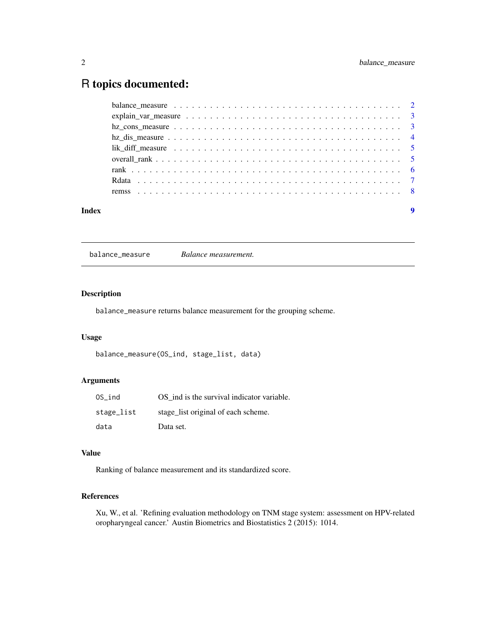### <span id="page-1-0"></span>R topics documented:

| Index | $\boldsymbol{Q}$                                                                                       |  |
|-------|--------------------------------------------------------------------------------------------------------|--|
|       |                                                                                                        |  |
|       |                                                                                                        |  |
|       |                                                                                                        |  |
|       |                                                                                                        |  |
|       | lik diff measure $\ldots \ldots \ldots \ldots \ldots \ldots \ldots \ldots \ldots \ldots \ldots \ldots$ |  |
|       |                                                                                                        |  |
|       |                                                                                                        |  |
|       |                                                                                                        |  |
|       |                                                                                                        |  |

balance\_measure *Balance measurement.*

#### Description

balance\_measure returns balance measurement for the grouping scheme.

#### Usage

balance\_measure(OS\_ind, stage\_list, data)

#### Arguments

| OS ind     | OS ind is the survival indicator variable. |
|------------|--------------------------------------------|
| stage_list | stage_list original of each scheme.        |
| data       | Data set.                                  |

#### Value

Ranking of balance measurement and its standardized score.

#### References

Xu, W., et al. 'Refining evaluation methodology on TNM stage system: assessment on HPV-related oropharyngeal cancer.' Austin Biometrics and Biostatistics 2 (2015): 1014.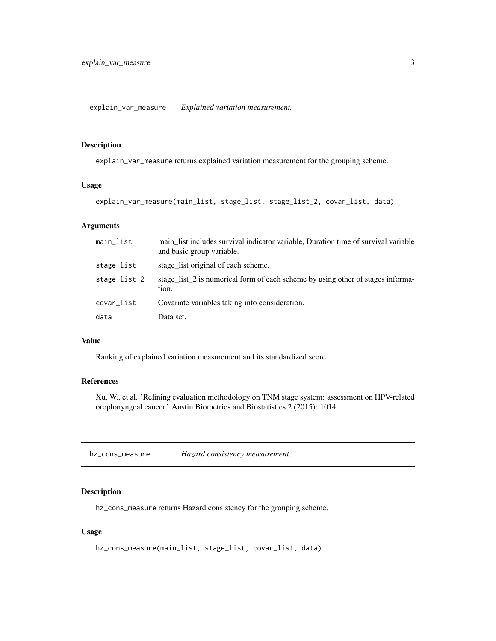<span id="page-2-0"></span>explain\_var\_measure *Explained variation measurement.*

#### Description

explain\_var\_measure returns explained variation measurement for the grouping scheme.

#### Usage

explain\_var\_measure(main\_list, stage\_list, stage\_list\_2, covar\_list, data)

#### Arguments

| main_list    | main list includes survival indicator variable, Duration time of survival variable<br>and basic group variable. |
|--------------|-----------------------------------------------------------------------------------------------------------------|
| stage_list   | stage list original of each scheme.                                                                             |
| stage_list_2 | stage_list_2 is numerical form of each scheme by using other of stages informa-<br>tion.                        |
| covar_list   | Covariate variables taking into consideration.                                                                  |
| data         | Data set.                                                                                                       |

#### Value

Ranking of explained variation measurement and its standardized score.

#### References

Xu, W., et al. 'Refining evaluation methodology on TNM stage system: assessment on HPV-related oropharyngeal cancer.' Austin Biometrics and Biostatistics 2 (2015): 1014.

hz\_cons\_measure *Hazard consistency measurement.*

#### Description

hz\_cons\_measure returns Hazard consistency for the grouping scheme.

#### Usage

```
hz_cons_measure(main_list, stage_list, covar_list, data)
```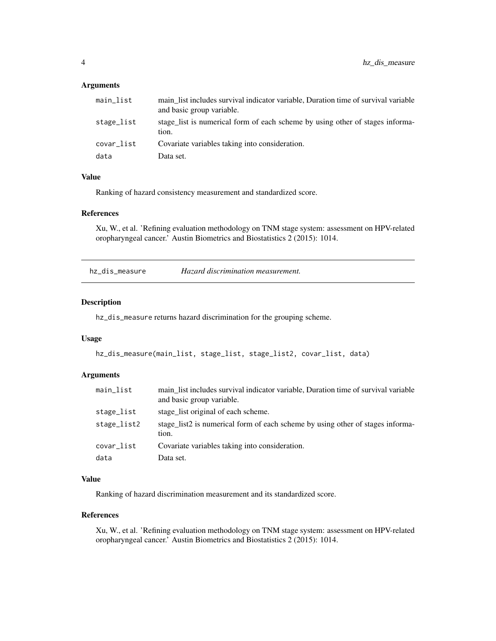#### <span id="page-3-0"></span>Arguments

| main_list  | main list includes survival indicator variable, Duration time of survival variable<br>and basic group variable. |
|------------|-----------------------------------------------------------------------------------------------------------------|
| stage_list | stage list is numerical form of each scheme by using other of stages informa-<br>tion.                          |
| covar_list | Covariate variables taking into consideration.                                                                  |
| data       | Data set.                                                                                                       |

#### Value

Ranking of hazard consistency measurement and standardized score.

#### References

Xu, W., et al. 'Refining evaluation methodology on TNM stage system: assessment on HPV-related oropharyngeal cancer.' Austin Biometrics and Biostatistics 2 (2015): 1014.

hz\_dis\_measure *Hazard discrimination measurement.*

#### Description

hz\_dis\_measure returns hazard discrimination for the grouping scheme.

#### Usage

```
hz_dis_measure(main_list, stage_list, stage_list2, covar_list, data)
```
#### Arguments

| main_list   | main list includes survival indicator variable, Duration time of survival variable<br>and basic group variable. |
|-------------|-----------------------------------------------------------------------------------------------------------------|
| stage_list  | stage list original of each scheme.                                                                             |
| stage_list2 | stage_list2 is numerical form of each scheme by using other of stages informa-<br>tion.                         |
| covar_list  | Covariate variables taking into consideration.                                                                  |
| data        | Data set.                                                                                                       |

#### Value

Ranking of hazard discrimination measurement and its standardized score.

#### References

Xu, W., et al. 'Refining evaluation methodology on TNM stage system: assessment on HPV-related oropharyngeal cancer.' Austin Biometrics and Biostatistics 2 (2015): 1014.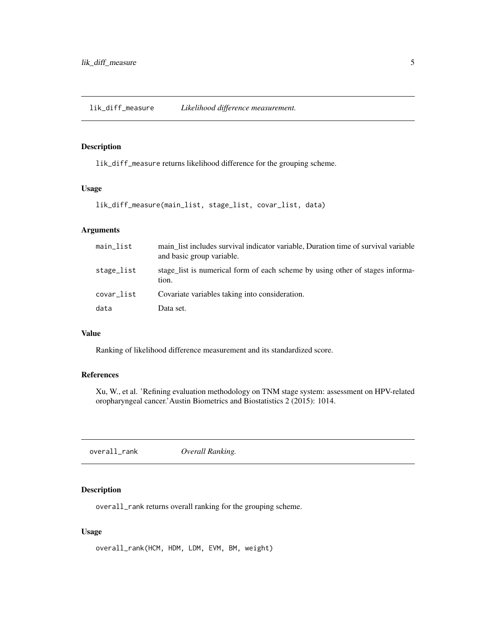<span id="page-4-0"></span>lik\_diff\_measure *Likelihood difference measurement.*

#### Description

lik\_diff\_measure returns likelihood difference for the grouping scheme.

#### Usage

lik\_diff\_measure(main\_list, stage\_list, covar\_list, data)

#### Arguments

| main_list  | main list includes survival indicator variable, Duration time of survival variable<br>and basic group variable. |
|------------|-----------------------------------------------------------------------------------------------------------------|
| stage_list | stage_list is numerical form of each scheme by using other of stages informa-<br>tion.                          |
| covar_list | Covariate variables taking into consideration.                                                                  |
| data       | Data set.                                                                                                       |

#### Value

Ranking of likelihood difference measurement and its standardized score.

#### References

Xu, W., et al. 'Refining evaluation methodology on TNM stage system: assessment on HPV-related oropharyngeal cancer.'Austin Biometrics and Biostatistics 2 (2015): 1014.

overall\_rank *Overall Ranking.*

#### Description

overall\_rank returns overall ranking for the grouping scheme.

#### Usage

overall\_rank(HCM, HDM, LDM, EVM, BM, weight)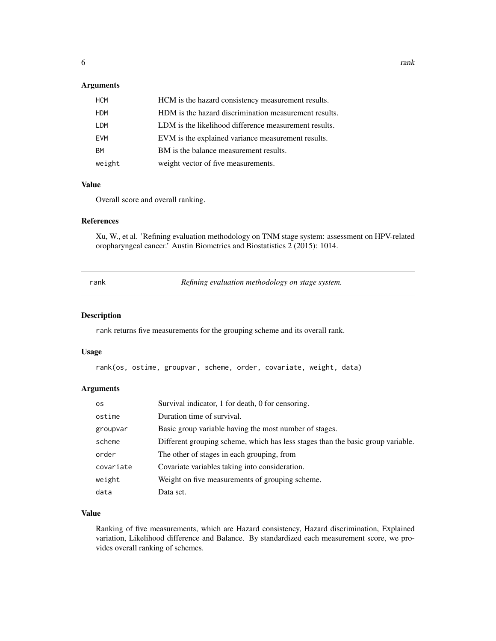#### <span id="page-5-0"></span>Arguments

| <b>HCM</b> | HCM is the hazard consistency measurement results.    |
|------------|-------------------------------------------------------|
| <b>HDM</b> | HDM is the hazard discrimination measurement results. |
| LDM        | LDM is the likelihood difference measurement results. |
| <b>EVM</b> | EVM is the explained variance measurement results.    |
| <b>BM</b>  | BM is the balance measurement results.                |
| weight     | weight vector of five measurements.                   |

#### Value

Overall score and overall ranking.

#### References

Xu, W., et al. 'Refining evaluation methodology on TNM stage system: assessment on HPV-related oropharyngeal cancer.' Austin Biometrics and Biostatistics 2 (2015): 1014.

*Refining evaluation methodology on stage system.* 

#### Description

rank returns five measurements for the grouping scheme and its overall rank.

#### Usage

rank(os, ostime, groupvar, scheme, order, covariate, weight, data)

#### Arguments

| 0S        | Survival indicator, 1 for death, 0 for censoring.                               |
|-----------|---------------------------------------------------------------------------------|
| ostime    | Duration time of survival.                                                      |
| groupvar  | Basic group variable having the most number of stages.                          |
| scheme    | Different grouping scheme, which has less stages than the basic group variable. |
| order     | The other of stages in each grouping, from                                      |
| covariate | Covariate variables taking into consideration.                                  |
| weight    | Weight on five measurements of grouping scheme.                                 |
| data      | Data set.                                                                       |

#### Value

Ranking of five measurements, which are Hazard consistency, Hazard discrimination, Explained variation, Likelihood difference and Balance. By standardized each measurement score, we provides overall ranking of schemes.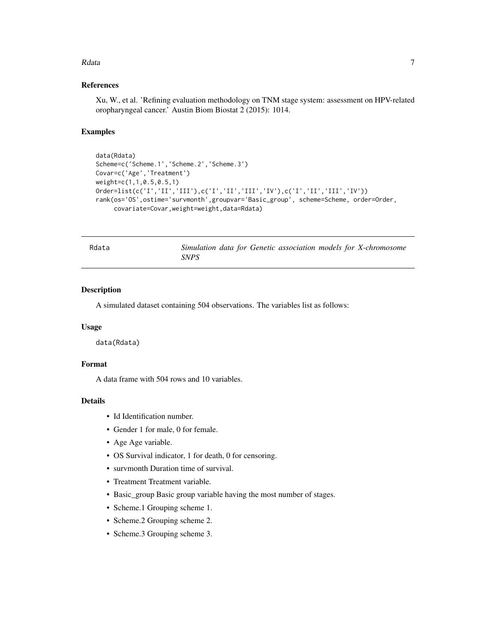#### <span id="page-6-0"></span>Rdata **7** and 7 and 7 and 7 and 7 and 7 and 7 and 7 and 7 and 7 and 7 and 7 and 7 and 7 and 7 and 7 and 7 and 7 and 7 and 7 and 7 and 7 and 7 and 7 and 7 and 7 and 7 and 7 and 7 and 7 and 7 and 7 and 7 and 7 and 7 and 7 an

#### References

Xu, W., et al. 'Refining evaluation methodology on TNM stage system: assessment on HPV-related oropharyngeal cancer.' Austin Biom Biostat 2 (2015): 1014.

#### Examples

```
data(Rdata)
Scheme=c('Scheme.1','Scheme.2','Scheme.3')
Covar=c('Age','Treatment')
weight=c(1,1,0.5,0.5,1)
Order=list(c('I','II','III'),c('I','II','III','IV'),c('I','II','III','IV'))
rank(os='OS',ostime='survmonth',groupvar='Basic_group', scheme=Scheme, order=Order,
     covariate=Covar,weight=weight,data=Rdata)
```
Rdata *Simulation data for Genetic association models for X-chromosome SNPS*

#### Description

A simulated dataset containing 504 observations. The variables list as follows:

#### Usage

data(Rdata)

#### Format

A data frame with 504 rows and 10 variables.

#### Details

- Id Identification number.
- Gender 1 for male, 0 for female.
- Age Age variable.
- OS Survival indicator, 1 for death, 0 for censoring.
- survmonth Duration time of survival.
- Treatment Treatment variable.
- Basic\_group Basic group variable having the most number of stages.
- Scheme.1 Grouping scheme 1.
- Scheme.2 Grouping scheme 2.
- Scheme.3 Grouping scheme 3.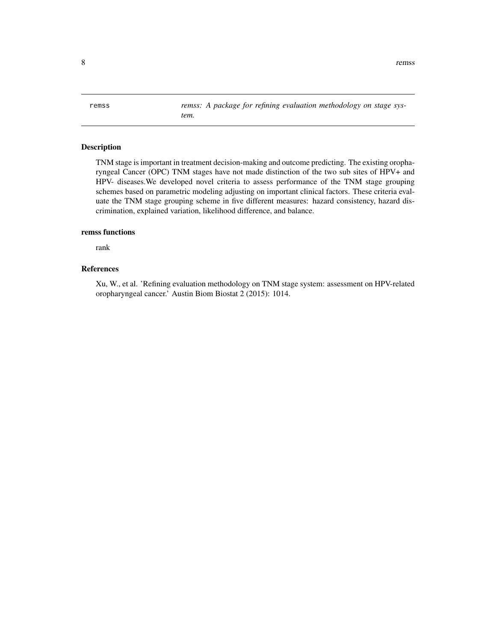<span id="page-7-0"></span>8 remss and the contract of the contract of the contract of the contract of the contract of the contract of the contract of the contract of the contract of the contract of the contract of the contract of the contract of th

remss *remss: A package for refining evaluation methodology on stage system.*

#### Description

TNM stage is important in treatment decision-making and outcome predicting. The existing oropharyngeal Cancer (OPC) TNM stages have not made distinction of the two sub sites of HPV+ and HPV- diseases.We developed novel criteria to assess performance of the TNM stage grouping schemes based on parametric modeling adjusting on important clinical factors. These criteria evaluate the TNM stage grouping scheme in five different measures: hazard consistency, hazard discrimination, explained variation, likelihood difference, and balance.

#### remss functions

rank

#### References

Xu, W., et al. 'Refining evaluation methodology on TNM stage system: assessment on HPV-related oropharyngeal cancer.' Austin Biom Biostat 2 (2015): 1014.